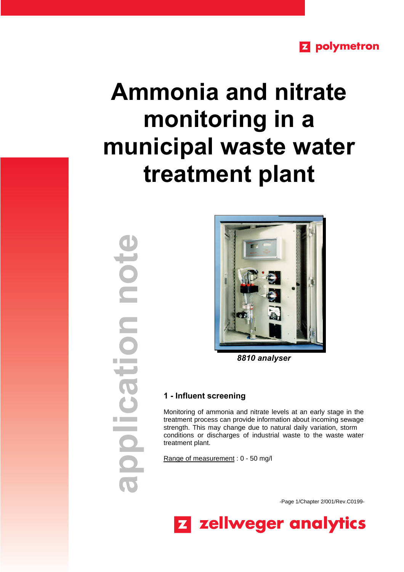# **Z** polymetron

# **Ammonia and nitrate monitoring in a municipal waste water treatment plant**

**application noteNOL** nch polica T



*8810 analyser*

## **1 - Influent screening**

Monitoring of ammonia and nitrate levels at an early stage in the treatment process can provide information about incoming sewage strength. This may change due to natural daily variation, storm conditions or discharges of industrial waste to the waste water treatment plant.

Range of measurement : 0 - 50 mg/l

-Page 1/Chapter 2/001/Rev.C0199-

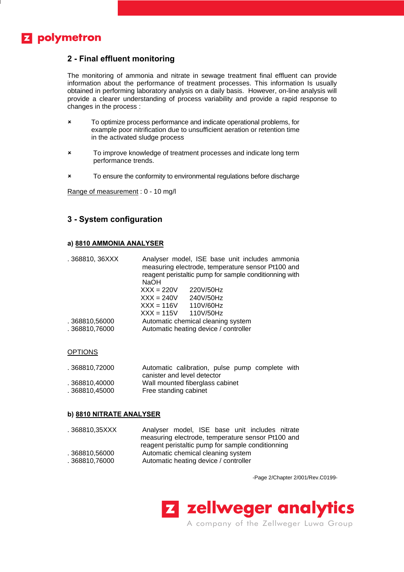# **Z** polymetron

## **2 - Final effluent monitoring**

The monitoring of ammonia and nitrate in sewage treatment final effluent can provide information about the performance of treatment processes. This information Is usually obtained in performing laboratory analysis on a daily basis. However, on-line analysis will provide a clearer understanding of process variability and provide a rapid response to changes in the process :

- **\*** To optimize process performance and indicate operational problems, for example poor nitrification due to unsufficient aeration or retention time in the activated sludge process
- **\*** To improve knowledge of treatment processes and indicate long term performance trends.
- **x** To ensure the conformity to environmental regulations before discharge

Range of measurement : 0 - 10 mg/l

### **3 - System configuration**

#### **a) 8810 AMMONIA ANALYSER**

| .368810, 36XXX                 | Analyser model, ISE base unit includes ammonia<br>measuring electrode, temperature sensor Pt100 and<br>reagent peristaltic pump for sample conditionning with<br><b>NaOH</b> |                                                                             |  |
|--------------------------------|------------------------------------------------------------------------------------------------------------------------------------------------------------------------------|-----------------------------------------------------------------------------|--|
|                                | $XXX = 220V$<br>$XXX = 240V$                                                                                                                                                 | 220V/50Hz<br>240V/50Hz                                                      |  |
|                                | $XXX = 116V$                                                                                                                                                                 | 110V/60Hz                                                                   |  |
| .368810,56000<br>.368810,76000 | $XXX = 115V$ 110V/50Hz                                                                                                                                                       | Automatic chemical cleaning system<br>Automatic heating device / controller |  |

#### OPTIONS

| . 368810.72000 | Automatic calibration, pulse pump complete with |
|----------------|-------------------------------------------------|
|                | canister and level detector                     |
| . 368810.40000 | Wall mounted fiberglass cabinet                 |
| . 368810.45000 | Free standing cabinet                           |

#### **b) 8810 NITRATE ANALYSER**

| . 368810,35XXX | Analyser model, ISE base unit includes nitrate    |  |  |
|----------------|---------------------------------------------------|--|--|
|                | measuring electrode, temperature sensor Pt100 and |  |  |
|                | reagent peristaltic pump for sample conditionning |  |  |
| . 368810.56000 | Automatic chemical cleaning system                |  |  |
| . 368810.76000 | Automatic heating device / controller             |  |  |

-Page 2/Chapter 2/001/Rev.C0199-